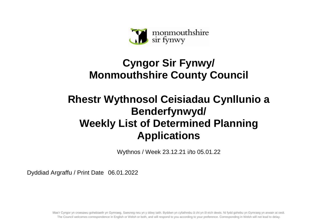

## **Cyngor Sir Fynwy/ Monmouthshire County Council**

## **Rhestr Wythnosol Ceisiadau Cynllunio a Benderfynwyd/ Weekly List of Determined Planning Applications**

Wythnos / Week 23.12.21 i/to 05.01.22

Dyddiad Argraffu / Print Date 06.01.2022

Mae'r Cyngor yn croesawu gohebiaeth yn Gymraeg, Saesneg neu yn y ddwy iaith. Byddwn yn cyfathrebu â chi yn ôl eich dewis. Ni fydd gohebu yn Gymraeg yn arwain at oedi. The Council welcomes correspondence in English or Welsh or both, and will respond to you according to your preference. Corresponding in Welsh will not lead to delay.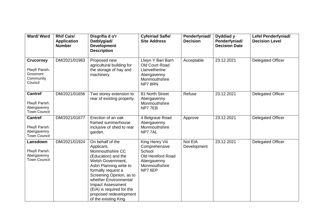| Ward/Ward                                                              | <b>Rhif Cais/</b><br><b>Application</b><br><b>Number</b> | Disgrifia d o'r<br>Datblygiad/<br><b>Development</b><br><b>Description</b>                                                                                                                                                                                                                                      | <b>Cyfeiriad Safle/</b><br><b>Site Address</b>                                                             | Penderfyniad/<br><b>Decision</b> | Dyddiad y<br>Penderfyniad/<br><b>Decision Date</b> | <b>Lefel Penderfyniad/</b><br><b>Decision Level</b> |
|------------------------------------------------------------------------|----------------------------------------------------------|-----------------------------------------------------------------------------------------------------------------------------------------------------------------------------------------------------------------------------------------------------------------------------------------------------------------|------------------------------------------------------------------------------------------------------------|----------------------------------|----------------------------------------------------|-----------------------------------------------------|
| <b>Crucorney</b><br>Plwyf/ Parish:<br>Grosmont<br>Community<br>Council | DM/2021/01983                                            | Proposed new<br>agricultural building for<br>the storage of hay and<br>machinery.                                                                                                                                                                                                                               | Llwyn Y Bari Barn<br>Old Court Road<br>Llanvetherine<br>Abergavenny<br>Monmouthshire<br>NP78RN             | Acceptable                       | 23.12.2021                                         | <b>Delegated Officer</b>                            |
| <b>Cantref</b><br>Plwyf/ Parish:<br>Abergavenny<br><b>Town Council</b> | DM/2021/01656                                            | Two storey extension to<br>rear of existing property.                                                                                                                                                                                                                                                           | 81 North Street<br>Abergavenny<br>Monmouthshire<br>NP77EB                                                  | Refuse                           | 23.12.2021                                         | <b>Delegated Officer</b>                            |
| <b>Cantref</b><br>Plwyf/ Parish:<br>Abergavenny<br><b>Town Council</b> | DM/2021/01677                                            | Erection of an oak<br>framed summerhouse<br>inclusive of shed to rear<br>garden.                                                                                                                                                                                                                                | 4 Belgrave Road<br>Abergavenny<br>Monmouthshire<br>NP777AL                                                 | Approve                          | 23.12.2021                                         | <b>Delegated Officer</b>                            |
| Lansdown<br>Plwyf/ Parish:<br>Abergavenny<br><b>Town Council</b>       | DM/2021/01924                                            | On behalf of the<br>Applicant,<br>Monmouthshire CC<br>(Education) and the<br>Welsh Government,<br>Asbri Planning write to<br>formally request a<br>Screening Opinion, as to<br>whether Environmental<br><b>Impact Assessment</b><br>(EIA) is required for the<br>proposed redevelopment<br>of the existing King | King Henry Viii<br>Comprehensive<br>School<br>Old Hereford Road<br>Abergavenny<br>Monmouthshire<br>NP7 6EP | Not EIA<br>Development           | 23.12.2021                                         | <b>Delegated Officer</b>                            |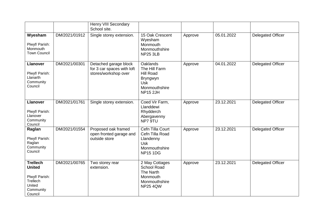|                                                                                                  |               | <b>Henry VIII Secondary</b><br>School site.                                 |                                                                                                                    |         |            |                          |
|--------------------------------------------------------------------------------------------------|---------------|-----------------------------------------------------------------------------|--------------------------------------------------------------------------------------------------------------------|---------|------------|--------------------------|
| Wyesham<br>Plwyf/ Parish:<br>Monmouth<br><b>Town Council</b>                                     | DM/2021/01912 | Single storey extension.                                                    | 15 Oak Crescent<br>Wyesham<br>Monmouth<br>Monmouthshire<br><b>NP25 3LB</b>                                         | Approve | 05.01.2022 | <b>Delegated Officer</b> |
| <b>Llanover</b><br>Plwyf/ Parish:<br>Llanarth<br>Community<br>Council                            | DM/2021/00301 | Detached garage block<br>for 3 car spaces with loft<br>stores/workshop over | <b>Oaklands</b><br>The Hill Farm<br><b>Hill Road</b><br>Bryngwyn<br><b>Usk</b><br>Monmouthshire<br><b>NP15 2JH</b> | Approve | 04.01.2022 | <b>Delegated Officer</b> |
| <b>Llanover</b><br>Plwyf/ Parish:<br>Llanover<br>Community<br>Council                            | DM/2021/01761 | Single storey extension.                                                    | Coed Vir Farm,<br>Llanddewi<br>Rhydderch<br>Abergavenny<br>NP7 9TU                                                 | Approve | 23.12.2021 | <b>Delegated Officer</b> |
| Raglan<br>Plwyf/ Parish:<br>Raglan<br>Community<br>Council                                       | DM/2021/01554 | Proposed oak framed<br>open fronted garage and<br>outside store             | Cefn Tilla Court<br>Cefn Tilla Road<br>Llandenny<br><b>Usk</b><br>Monmouthshire<br><b>NP15 1DG</b>                 | Approve | 23.12.2021 | <b>Delegated Officer</b> |
| <b>Trellech</b><br><b>United</b><br>Plwyf/ Parish:<br>Trellech<br>United<br>Community<br>Council | DM/2021/00765 | Two storey rear<br>extension.                                               | 2 May Cottages<br><b>School Road</b><br>The Narth<br>Monmouth<br>Monmouthshire<br><b>NP25 4QW</b>                  | Approve | 23.12.2021 | <b>Delegated Officer</b> |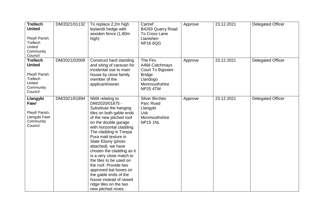| <b>Trellech</b><br><b>United</b><br>Plwyf/ Parish:<br>Trellech<br>United<br>Community<br>Council | DM/2021/01132 | To replace 2.2m high<br>leylandii hedge with<br>wooden fence (1.80m<br>high)                                                                                                                                                                                                                                                                                                                                                                                                                                     | Cartref<br>B4293 Quarry Road<br>To Cross Lane<br>Llanishen<br><b>NP16 6QG</b>                                    | Approve | 23.12.2021 | <b>Delegated Officer</b> |
|--------------------------------------------------------------------------------------------------|---------------|------------------------------------------------------------------------------------------------------------------------------------------------------------------------------------------------------------------------------------------------------------------------------------------------------------------------------------------------------------------------------------------------------------------------------------------------------------------------------------------------------------------|------------------------------------------------------------------------------------------------------------------|---------|------------|--------------------------|
| <b>Trellech</b><br><b>United</b><br>Plwyf/ Parish:<br>Trellech<br>United<br>Community<br>Council | DM/2021/02009 | Construct hard standing<br>and siting of caravan for<br>incidental use to main<br>house by close family<br>member of the<br>applicant/owner.                                                                                                                                                                                                                                                                                                                                                                     | The Firs<br>A466 Catchmays<br>Court To Bigsweir<br><b>Bridge</b><br>Llandogo<br>Monmouthshire<br><b>NP25 4TW</b> | Approve | 23.12.2021 | <b>Delegated Officer</b> |
| Llangybi<br>Fawr<br>Plwyf/ Parish:<br>Llangybi Fawr<br>Community<br>Council                      | DM/2021/01894 | NMA relating to<br>DM/2020/01875 -<br>Substitute the hanging<br>tiles on both gable ends<br>of the new pitched roof<br>on the double garage<br>with horizontal cladding.<br>The cladding is Trespa<br>Pura matt texture in<br>Slate Ebony (photo<br>attached). we have<br>chosen the cladding as it<br>is a very close match to<br>the tiles to be used on<br>the roof. Provide two<br>approved bat boxes on<br>the gable ends of the<br>house instead of raised<br>ridge tiles on the two<br>new pitched roves. | <b>Silver Birches</b><br>Parc Road<br>Llangybi<br><b>Usk</b><br>Monmouthshire<br><b>NP15 1NL</b>                 | Approve | 23.12.2021 | <b>Delegated Officer</b> |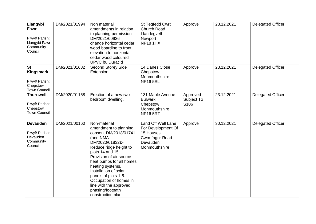| Llangybi<br>Fawr<br>Plwyf/ Parish:<br>Llangybi Fawr<br>Community<br>Council | DM/2021/01994 | Non material<br>amendments in relation<br>to planning permission<br>DM/2021/00926 -<br>change horizontal cedar<br>wood boarding to front<br>elevation to horizontal<br>cedar wood coloured<br><b>UPVC</b> bu Duracid                                                                                                                                                   | St Tegfedd Cwrt<br><b>Church Road</b><br>Llandegveth<br>Newport<br><b>NP18 1HX</b>                   | Approve                                    | 23.12.2021 | <b>Delegated Officer</b> |
|-----------------------------------------------------------------------------|---------------|------------------------------------------------------------------------------------------------------------------------------------------------------------------------------------------------------------------------------------------------------------------------------------------------------------------------------------------------------------------------|------------------------------------------------------------------------------------------------------|--------------------------------------------|------------|--------------------------|
| <b>St</b><br>Kingsmark<br>Plwyf/ Parish:<br>Chepstow<br><b>Town Council</b> | DM/2021/01682 | <b>Second Storey Side</b><br>Extension.                                                                                                                                                                                                                                                                                                                                | 14 Danes Close<br>Chepstow<br>Monmouthshire<br><b>NP165SL</b>                                        | Approve                                    | 23.12.2021 | <b>Delegated Officer</b> |
| <b>Thornwell</b><br>Plwyf/ Parish:<br>Chepstow<br><b>Town Council</b>       | DM/2020/01168 | Erection of a new two<br>bedroom dwelling.                                                                                                                                                                                                                                                                                                                             | 131 Maple Avenue<br><b>Bulwark</b><br>Chepstow<br>Monmouthshire<br><b>NP16 5RT</b>                   | Approved<br>Subject To<br>S <sub>106</sub> | 23.12.2021 | <b>Delegated Officer</b> |
| <b>Devauden</b><br>Plwyf/ Parish:<br>Devauden<br>Community<br>Council       | DM/2021/00160 | Non-material<br>amendment to planning<br>consent DM/2018/01741<br>(and NMA<br>DM/2020/01832):-<br>Reduce ridge height to<br>plots 14 and 15.<br>Provision of air source<br>heat pumps for all homes<br>heating systems.<br>Installation of solar<br>panels of plots 1-5.<br>Occupation of homes in<br>line with the approved<br>phasing/footpath<br>construction plan. | Land Off Well Lane<br>For Development Of<br>15 Houses<br>Cwm-fagor Road<br>Devauden<br>Monmouthshire | Approve                                    | 30.12.2021 | <b>Delegated Officer</b> |